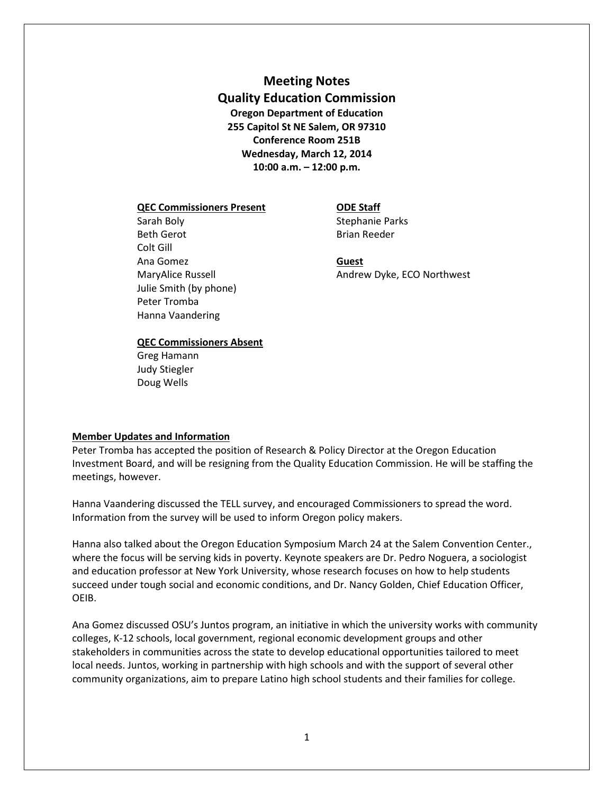# **Meeting Notes Quality Education Commission Oregon Department of Education 255 Capitol St NE Salem, OR 97310 Conference Room 251B Wednesday, March 12, 2014 10:00 a.m. – 12:00 p.m.**

### **QEC Commissioners Present ODE Staff**

# Sarah Boly **Sarah Boly** Stephanie Parks Beth Gerot **Brian Reeder** Colt Gill Ana Gomez **Guest** Julie Smith (by phone) Peter Tromba Hanna Vaandering

# MaryAlice Russell **Andrew Dyke, ECO Northwest**

### **QEC Commissioners Absent**

Greg Hamann Judy Stiegler Doug Wells

### **Member Updates and Information**

Peter Tromba has accepted the position of Research & Policy Director at the Oregon Education Investment Board, and will be resigning from the Quality Education Commission. He will be staffing the meetings, however.

Hanna Vaandering discussed the TELL survey, and encouraged Commissioners to spread the word. Information from the survey will be used to inform Oregon policy makers.

Hanna also talked about the Oregon Education Symposium March 24 at the Salem Convention Center., where the focus will be serving kids in poverty. Keynote speakers are Dr. Pedro Noguera, a sociologist and education professor at New York University, whose research focuses on how to help students succeed under tough social and economic conditions, and Dr. Nancy Golden, Chief Education Officer, OEIB.

Ana Gomez discussed OSU's Juntos program, an initiative in which the university works with community colleges, K-12 schools, local government, regional economic development groups and other stakeholders in communities across the state to develop educational opportunities tailored to meet local needs. Juntos, working in partnership with high schools and with the support of several other community organizations, aim to prepare Latino high school students and their families for college.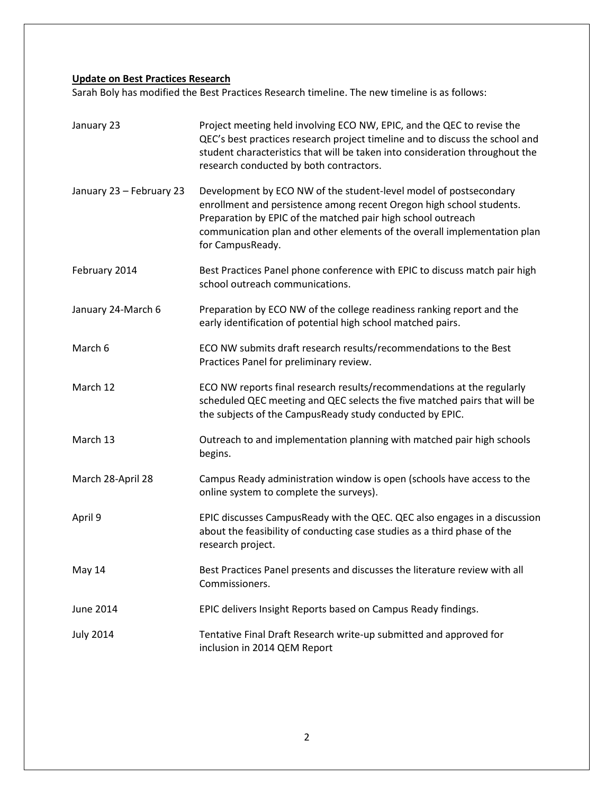## **Update on Best Practices Research**

Sarah Boly has modified the Best Practices Research timeline. The new timeline is as follows:

| January 23               | Project meeting held involving ECO NW, EPIC, and the QEC to revise the<br>QEC's best practices research project timeline and to discuss the school and<br>student characteristics that will be taken into consideration throughout the<br>research conducted by both contractors.                         |
|--------------------------|-----------------------------------------------------------------------------------------------------------------------------------------------------------------------------------------------------------------------------------------------------------------------------------------------------------|
| January 23 - February 23 | Development by ECO NW of the student-level model of postsecondary<br>enrollment and persistence among recent Oregon high school students.<br>Preparation by EPIC of the matched pair high school outreach<br>communication plan and other elements of the overall implementation plan<br>for CampusReady. |
| February 2014            | Best Practices Panel phone conference with EPIC to discuss match pair high<br>school outreach communications.                                                                                                                                                                                             |
| January 24-March 6       | Preparation by ECO NW of the college readiness ranking report and the<br>early identification of potential high school matched pairs.                                                                                                                                                                     |
| March 6                  | ECO NW submits draft research results/recommendations to the Best<br>Practices Panel for preliminary review.                                                                                                                                                                                              |
| March 12                 | ECO NW reports final research results/recommendations at the regularly<br>scheduled QEC meeting and QEC selects the five matched pairs that will be<br>the subjects of the CampusReady study conducted by EPIC.                                                                                           |
| March 13                 | Outreach to and implementation planning with matched pair high schools<br>begins.                                                                                                                                                                                                                         |
| March 28-April 28        | Campus Ready administration window is open (schools have access to the<br>online system to complete the surveys).                                                                                                                                                                                         |
| April 9                  | EPIC discusses CampusReady with the QEC. QEC also engages in a discussion<br>about the feasibility of conducting case studies as a third phase of the<br>research project.                                                                                                                                |
| May 14                   | Best Practices Panel presents and discusses the literature review with all<br>Commissioners.                                                                                                                                                                                                              |
| <b>June 2014</b>         | EPIC delivers Insight Reports based on Campus Ready findings.                                                                                                                                                                                                                                             |
| <b>July 2014</b>         | Tentative Final Draft Research write-up submitted and approved for<br>inclusion in 2014 QEM Report                                                                                                                                                                                                        |